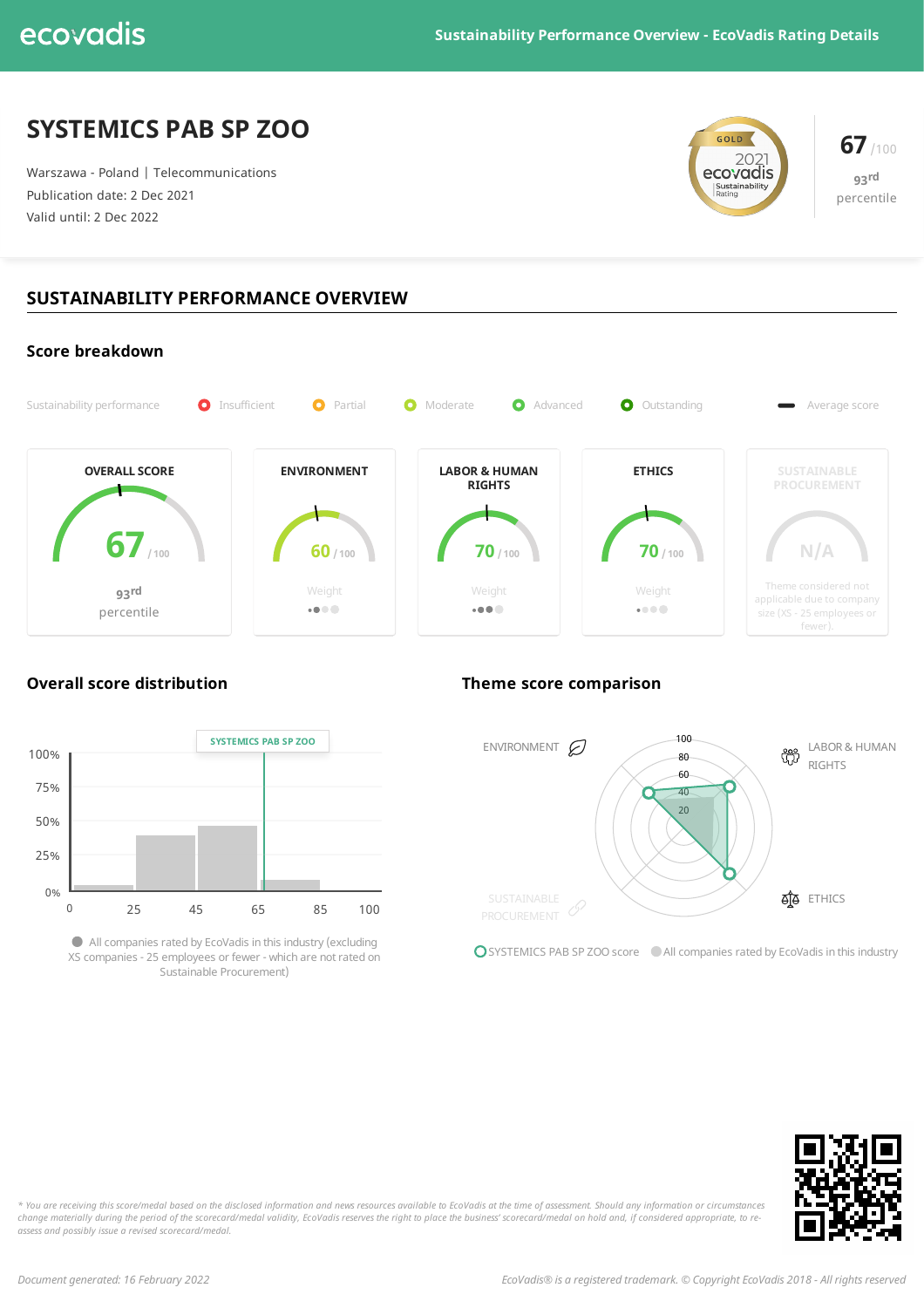# **SYSTEMICS PAB SP ZOO**

Warszawa - Poland | Telecommunications Publication date: 2 Dec 2021 Valid until: 2 Dec 2022



**93 rd** percentile

# **SUSTAINABILITY PERFORMANCE OVERVIEW**





Allcompanies rated by EcoVadis in this industry(excluding XS companies - 25 employees or fewer - which are notrated on Sustainable Procurement)

# **Overall score distribution Theme score comparison**



OSYSTEMICS PAB SP ZOO score All companies rated by EcoVadis in this industry



\* You are receiving this score/medal based on the disclosed information and news resources available to EcoVadis at the time of assessment. Should any information or circumstances change materially during the period of the scorecard/medal validity, EcoVadis reserves the right to place the business' scorecard/medal on hold and, if considered appropriate, to re*assess and possibly issue a revised scorecard/medal.*